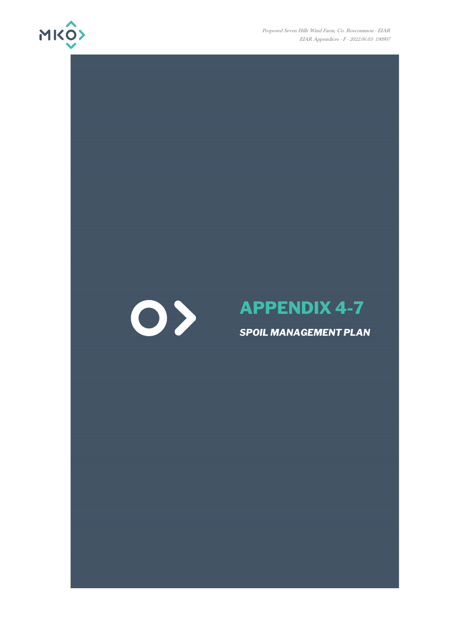

Proposed Seven Hills Wind Farm, Co. Roscommon - EIAR EIAR Appendices - F - 2022.06.03- 190907



# **APPENDIX 4-7**

# *SPOIL MANAGEMENT PLAN*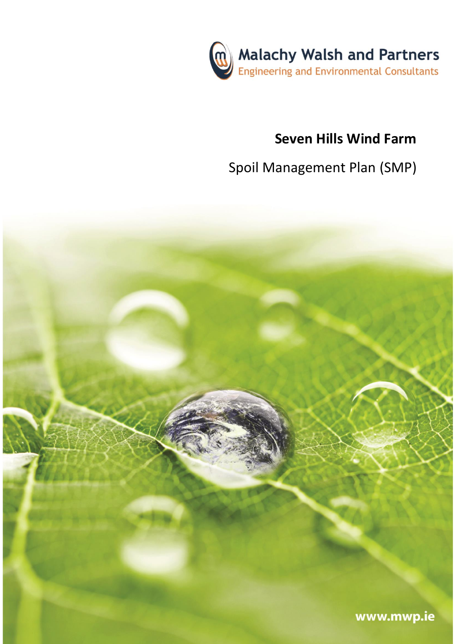

# **Seven Hills Wind Farm**

# Spoil Management Plan (SMP)

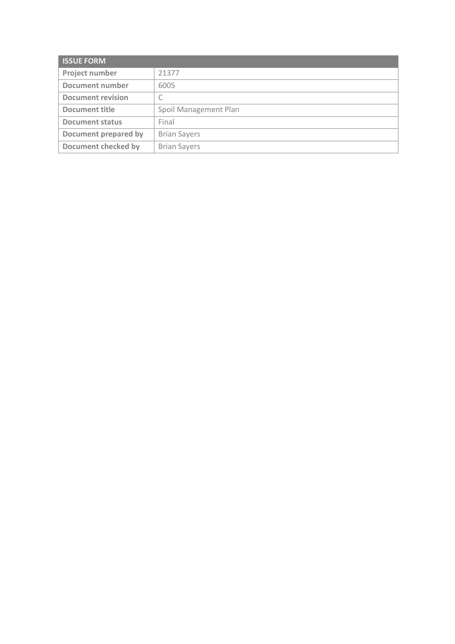| <b>ISSUE FORM</b>          |                       |  |
|----------------------------|-----------------------|--|
| Project number             | 21377                 |  |
| <b>Document number</b>     | 6005                  |  |
| <b>Document revision</b>   | С                     |  |
| Document title             | Spoil Management Plan |  |
| <b>Document status</b>     | Final                 |  |
| Document prepared by       | <b>Brian Sayers</b>   |  |
| <b>Document checked by</b> | <b>Brian Sayers</b>   |  |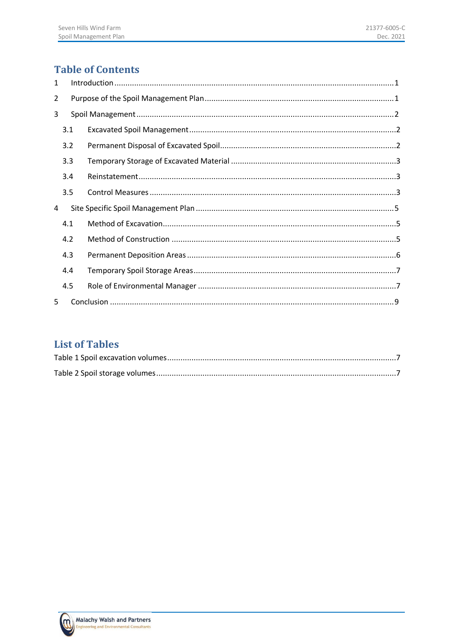# **Table of Contents**

| 1              |     |  |  |  |  |  |
|----------------|-----|--|--|--|--|--|
| $\overline{2}$ |     |  |  |  |  |  |
| 3              |     |  |  |  |  |  |
|                | 3.1 |  |  |  |  |  |
|                | 3.2 |  |  |  |  |  |
|                | 3.3 |  |  |  |  |  |
|                | 3.4 |  |  |  |  |  |
|                | 3.5 |  |  |  |  |  |
| 4              |     |  |  |  |  |  |
|                | 4.1 |  |  |  |  |  |
|                | 4.2 |  |  |  |  |  |
|                | 4.3 |  |  |  |  |  |
|                | 4.4 |  |  |  |  |  |
|                | 4.5 |  |  |  |  |  |
| 5.             |     |  |  |  |  |  |

# **List of Tables**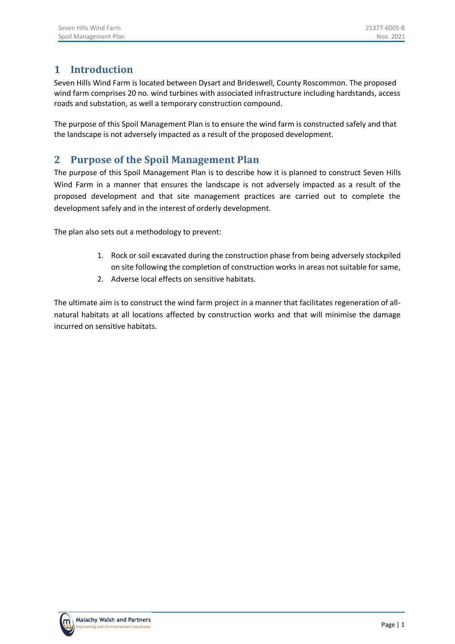# <span id="page-4-0"></span>**1 Introduction**

Seven Hills Wind Farm is located between Dysart and Brideswell, County Roscommon. The proposed wind farm comprises 20 no. wind turbines with associated infrastructure including hardstands, access roads and substation, as well a temporary construction compound.

The purpose of this Spoil Management Plan is to ensure the wind farm is constructed safely and that the landscape is not adversely impacted as a result of the proposed development.

# <span id="page-4-1"></span>**2 Purpose of the Spoil Management Plan**

The purpose of this Spoil Management Plan is to describe how it is planned to construct Seven Hills Wind Farm in a manner that ensures the landscape is not adversely impacted as a result of the proposed development and that site management practices are carried out to complete the development safely and in the interest of orderly development.

The plan also sets out a methodology to prevent:

- 1. Rock or soil excavated during the construction phase from being adversely stockpiled on site following the completion of construction works in areas not suitable for same,
- 2. Adverse local effects on sensitive habitats.

The ultimate aim is to construct the wind farm project in a manner that facilitates regeneration of allnatural habitats at all locations affected by construction works and that will minimise the damage incurred on sensitive habitats.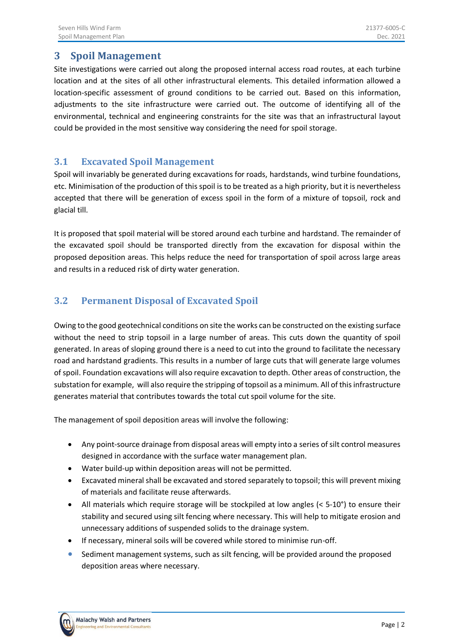## <span id="page-5-0"></span>**3 Spoil Management**

Site investigations were carried out along the proposed internal access road routes, at each turbine location and at the sites of all other infrastructural elements. This detailed information allowed a location-specific assessment of ground conditions to be carried out. Based on this information, adjustments to the site infrastructure were carried out. The outcome of identifying all of the environmental, technical and engineering constraints for the site was that an infrastructural layout could be provided in the most sensitive way considering the need for spoil storage.

#### <span id="page-5-1"></span>**3.1 Excavated Spoil Management**

Spoil will invariably be generated during excavations for roads, hardstands, wind turbine foundations, etc. Minimisation of the production of this spoil is to be treated as a high priority, but it is nevertheless accepted that there will be generation of excess spoil in the form of a mixture of topsoil, rock and glacial till.

It is proposed that spoil material will be stored around each turbine and hardstand. The remainder of the excavated spoil should be transported directly from the excavation for disposal within the proposed deposition areas. This helps reduce the need for transportation of spoil across large areas and results in a reduced risk of dirty water generation.

## <span id="page-5-2"></span>**3.2 Permanent Disposal of Excavated Spoil**

Owing to the good geotechnical conditions on site the works can be constructed on the existing surface without the need to strip topsoil in a large number of areas. This cuts down the quantity of spoil generated. In areas of sloping ground there is a need to cut into the ground to facilitate the necessary road and hardstand gradients. This results in a number of large cuts that will generate large volumes of spoil. Foundation excavations will also require excavation to depth. Other areas of construction, the substation for example, will also require the stripping of topsoil as a minimum. All of this infrastructure generates material that contributes towards the total cut spoil volume for the site.

The management of spoil deposition areas will involve the following:

- Any point-source drainage from disposal areas will empty into a series of silt control measures designed in accordance with the surface water management plan.
- Water build-up within deposition areas will not be permitted.
- Excavated mineral shall be excavated and stored separately to topsoil; this will prevent mixing of materials and facilitate reuse afterwards.
- All materials which require storage will be stockpiled at low angles (< 5-10°) to ensure their stability and secured using silt fencing where necessary. This will help to mitigate erosion and unnecessary additions of suspended solids to the drainage system.
- If necessary, mineral soils will be covered while stored to minimise run-off.
- Sediment management systems, such as silt fencing, will be provided around the proposed deposition areas where necessary.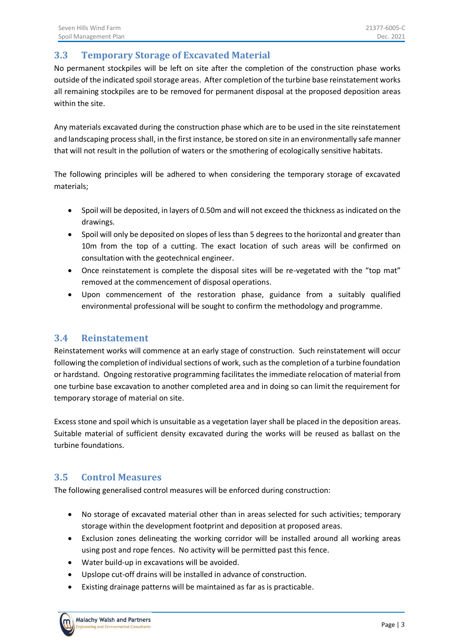## <span id="page-6-0"></span>**3.3 Temporary Storage of Excavated Material**

No permanent stockpiles will be left on site after the completion of the construction phase works outside of the indicated spoil storage areas. After completion of the turbine base reinstatement works all remaining stockpiles are to be removed for permanent disposal at the proposed deposition areas within the site.

Any materials excavated during the construction phase which are to be used in the site reinstatement and landscaping process shall, in the first instance, be stored on site in an environmentally safe manner that will not result in the pollution of waters or the smothering of ecologically sensitive habitats.

The following principles will be adhered to when considering the temporary storage of excavated materials;

- Spoil will be deposited, in layers of 0.50m and will not exceed the thickness as indicated on the drawings.
- Spoil will only be deposited on slopes of less than 5 degrees to the horizontal and greater than 10m from the top of a cutting. The exact location of such areas will be confirmed on consultation with the geotechnical engineer.
- Once reinstatement is complete the disposal sites will be re-vegetated with the "top mat" removed at the commencement of disposal operations.
- Upon commencement of the restoration phase, guidance from a suitably qualified environmental professional will be sought to confirm the methodology and programme.

#### <span id="page-6-1"></span>**3.4 Reinstatement**

Reinstatement works will commence at an early stage of construction. Such reinstatement will occur following the completion of individual sections of work, such as the completion of a turbine foundation or hardstand. Ongoing restorative programming facilitates the immediate relocation of material from one turbine base excavation to another completed area and in doing so can limit the requirement for temporary storage of material on site.

Excess stone and spoil which is unsuitable as a vegetation layer shall be placed in the deposition areas. Suitable material of sufficient density excavated during the works will be reused as ballast on the turbine foundations.

### <span id="page-6-2"></span>**3.5 Control Measures**

The following generalised control measures will be enforced during construction:

- No storage of excavated material other than in areas selected for such activities; temporary storage within the development footprint and deposition at proposed areas.
- Exclusion zones delineating the working corridor will be installed around all working areas using post and rope fences. No activity will be permitted past this fence.
- Water build-up in excavations will be avoided.
- Upslope cut-off drains will be installed in advance of construction.
- Existing drainage patterns will be maintained as far as is practicable.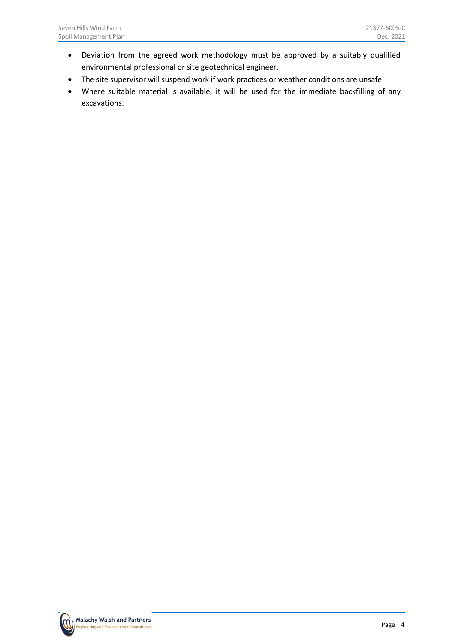- Deviation from the agreed work methodology must be approved by a suitably qualified environmental professional or site geotechnical engineer.
- The site supervisor will suspend work if work practices or weather conditions are unsafe.
- Where suitable material is available, it will be used for the immediate backfilling of any excavations.

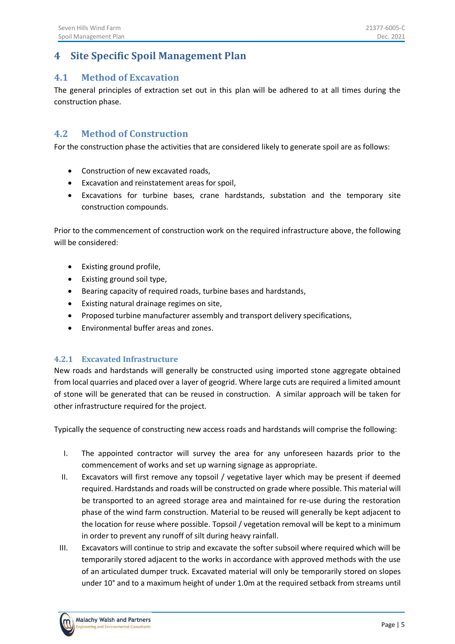## <span id="page-8-0"></span>**4 Site Specific Spoil Management Plan**

#### <span id="page-8-1"></span>**4.1 Method of Excavation**

The general principles of extraction set out in this plan will be adhered to at all times during the construction phase.

#### <span id="page-8-2"></span>**4.2 Method of Construction**

For the construction phase the activities that are considered likely to generate spoil are as follows:

- Construction of new excavated roads,
- Excavation and reinstatement areas for spoil,
- Excavations for turbine bases, crane hardstands, substation and the temporary site construction compounds.

Prior to the commencement of construction work on the required infrastructure above, the following will be considered:

- Existing ground profile,
- Existing ground soil type,
- Bearing capacity of required roads, turbine bases and hardstands,
- Existing natural drainage regimes on site,
- Proposed turbine manufacturer assembly and transport delivery specifications,
- Environmental buffer areas and zones.

#### **4.2.1 Excavated Infrastructure**

New roads and hardstands will generally be constructed using imported stone aggregate obtained from local quarries and placed over a layer of geogrid. Where large cuts are required a limited amount of stone will be generated that can be reused in construction. A similar approach will be taken for other infrastructure required for the project.

Typically the sequence of constructing new access roads and hardstands will comprise the following:

- I. The appointed contractor will survey the area for any unforeseen hazards prior to the commencement of works and set up warning signage as appropriate.
- II. Excavators will first remove any topsoil / vegetative layer which may be present if deemed required. Hardstands and roads will be constructed on grade where possible. This material will be transported to an agreed storage area and maintained for re-use during the restoration phase of the wind farm construction. Material to be reused will generally be kept adjacent to the location for reuse where possible. Topsoil / vegetation removal will be kept to a minimum in order to prevent any runoff of silt during heavy rainfall.
- III. Excavators will continue to strip and excavate the softer subsoil where required which will be temporarily stored adjacent to the works in accordance with approved methods with the use of an articulated dumper truck. Excavated material will only be temporarily stored on slopes under 10° and to a maximum height of under 1.0m at the required setback from streams until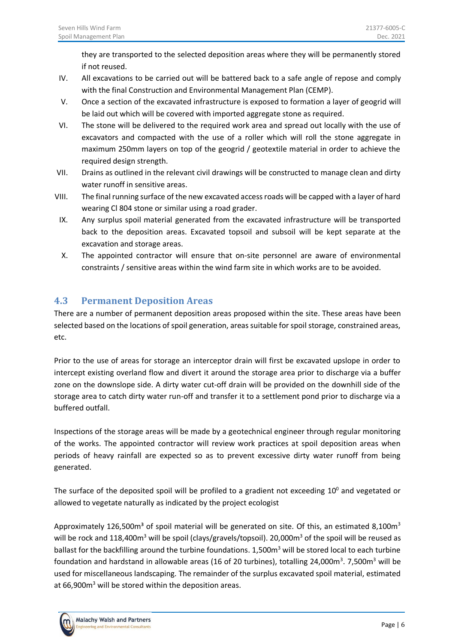they are transported to the selected deposition areas where they will be permanently stored if not reused.

- IV. All excavations to be carried out will be battered back to a safe angle of repose and comply with the final Construction and Environmental Management Plan (CEMP).
- V. Once a section of the excavated infrastructure is exposed to formation a layer of geogrid will be laid out which will be covered with imported aggregate stone as required.
- VI. The stone will be delivered to the required work area and spread out locally with the use of excavators and compacted with the use of a roller which will roll the stone aggregate in maximum 250mm layers on top of the geogrid / geotextile material in order to achieve the required design strength.
- VII. Drains as outlined in the relevant civil drawings will be constructed to manage clean and dirty water runoff in sensitive areas.
- VIII. The final running surface of the new excavated access roads will be capped with a layer of hard wearing Cl 804 stone or similar using a road grader.
- IX. Any surplus spoil material generated from the excavated infrastructure will be transported back to the deposition areas. Excavated topsoil and subsoil will be kept separate at the excavation and storage areas.
- X. The appointed contractor will ensure that on-site personnel are aware of environmental constraints / sensitive areas within the wind farm site in which works are to be avoided.

## <span id="page-9-0"></span>**4.3 Permanent Deposition Areas**

There are a number of permanent deposition areas proposed within the site. These areas have been selected based on the locations of spoil generation, areas suitable for spoil storage, constrained areas, etc.

Prior to the use of areas for storage an interceptor drain will first be excavated upslope in order to intercept existing overland flow and divert it around the storage area prior to discharge via a buffer zone on the downslope side. A dirty water cut-off drain will be provided on the downhill side of the storage area to catch dirty water run-off and transfer it to a settlement pond prior to discharge via a buffered outfall.

Inspections of the storage areas will be made by a geotechnical engineer through regular monitoring of the works. The appointed contractor will review work practices at spoil deposition areas when periods of heavy rainfall are expected so as to prevent excessive dirty water runoff from being generated.

The surface of the deposited spoil will be profiled to a gradient not exceeding  $10^0$  and vegetated or allowed to vegetate naturally as indicated by the project ecologist

Approximately 126,500 $m<sup>3</sup>$  of spoil material will be generated on site. Of this, an estimated 8,100 $m<sup>3</sup>$ will be rock and 118,400m<sup>3</sup> will be spoil (clays/gravels/topsoil). 20,000m<sup>3</sup> of the spoil will be reused as ballast for the backfilling around the turbine foundations. 1,500m<sup>3</sup> will be stored local to each turbine foundation and hardstand in allowable areas (16 of 20 turbines), totalling 24,000m<sup>3</sup>. 7,500m<sup>3</sup> will be used for miscellaneous landscaping. The remainder of the surplus excavated spoil material, estimated at 66,900 $m<sup>3</sup>$  will be stored within the deposition areas.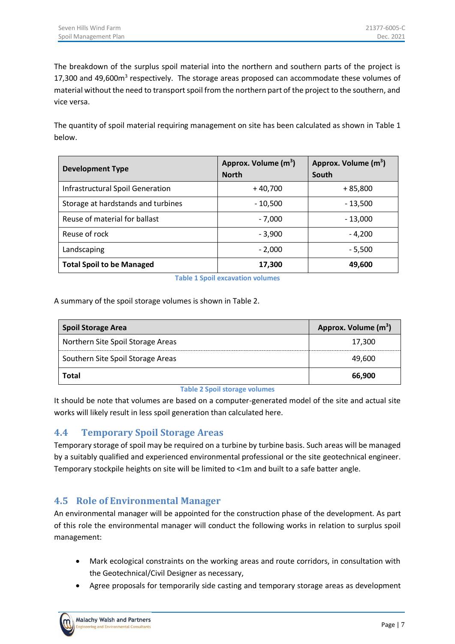The breakdown of the surplus spoil material into the northern and southern parts of the project is 17,300 and 49,600m<sup>3</sup> respectively. The storage areas proposed can accommodate these volumes of material without the need to transport spoil from the northern part of the project to the southern, and vice versa.

The quantity of spoil material requiring management on site has been calculated as shown in [Table 1](#page-10-2) below.

| <b>Development Type</b>                 | Approx. Volume (m <sup>3</sup> )<br><b>North</b> | Approx. Volume (m <sup>3</sup> )<br>South |
|-----------------------------------------|--------------------------------------------------|-------------------------------------------|
| <b>Infrastructural Spoil Generation</b> | $+40,700$                                        | + 85,800                                  |
| Storage at hardstands and turbines      | - 10,500                                         | $-13,500$                                 |
| Reuse of material for ballast           | - 7,000                                          | $-13,000$                                 |
| Reuse of rock                           | $-3.900$                                         | $-4.200$                                  |
| Landscaping                             | $-2,000$                                         | - 5,500                                   |
| <b>Total Spoil to be Managed</b>        | 17,300                                           | 49,600                                    |

**Table 1 Spoil excavation volumes**

<span id="page-10-2"></span>A summary of the spoil storage volumes is shown i[n Table 2.](#page-10-3)

| <b>Spoil Storage Area</b>         | Approx. Volume (m <sup>3</sup> ) |
|-----------------------------------|----------------------------------|
| Northern Site Spoil Storage Areas | 17,300                           |
| Southern Site Spoil Storage Areas | 49,600                           |
| Total                             | 66,900                           |

#### **Table 2 Spoil storage volumes**

<span id="page-10-3"></span><span id="page-10-0"></span>It should be note that volumes are based on a computer-generated model of the site and actual site works will likely result in less spoil generation than calculated here.

### **4.4 Temporary Spoil Storage Areas**

Temporary storage of spoil may be required on a turbine by turbine basis. Such areas will be managed by a suitably qualified and experienced environmental professional or the site geotechnical engineer. Temporary stockpile heights on site will be limited to <1m and built to a safe batter angle.

### <span id="page-10-1"></span>**4.5 Role of Environmental Manager**

An environmental manager will be appointed for the construction phase of the development. As part of this role the environmental manager will conduct the following works in relation to surplus spoil management:

- Mark ecological constraints on the working areas and route corridors, in consultation with the Geotechnical/Civil Designer as necessary,
- Agree proposals for temporarily side casting and temporary storage areas as development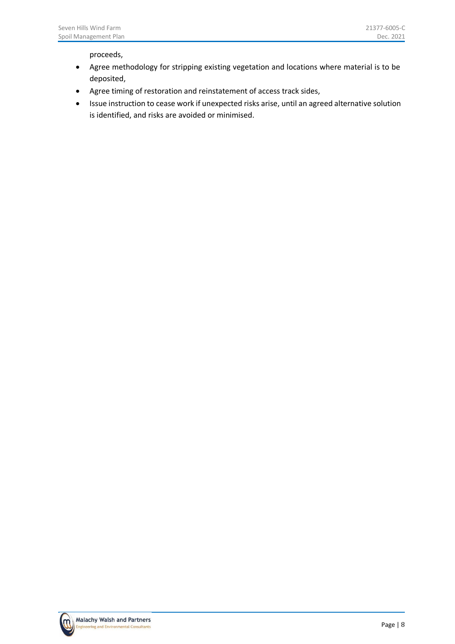proceeds,

- Agree methodology for stripping existing vegetation and locations where material is to be deposited,
- Agree timing of restoration and reinstatement of access track sides,
- Issue instruction to cease work if unexpected risks arise, until an agreed alternative solution is identified, and risks are avoided or minimised.